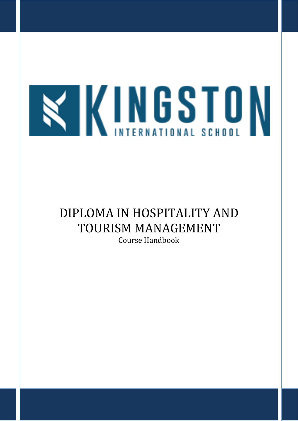

# DIPLOMA IN HOSPITALITY AND TOURISM MANAGEMENT

Course Handbook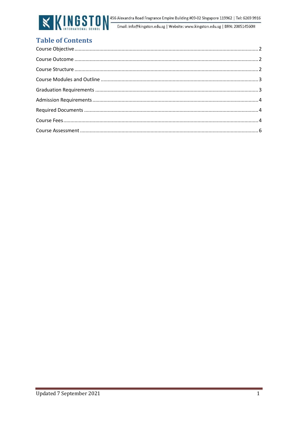

# **Table of Contents**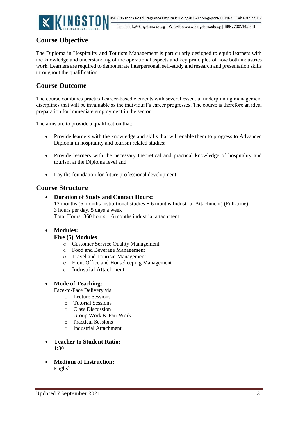

# <span id="page-2-0"></span>**Course Objective**

<span id="page-2-1"></span>The Diploma in Hospitality and Tourism Management is particularly designed to equip learners with the knowledge and understanding of the operational aspects and key principles of how both industries work. Learners are required to demonstrate interpersonal, self-study and research and presentation skills throughout the qualification.

# **Course Outcome**

<span id="page-2-2"></span>The course combines practical career-based elements with several essential underpinning management disciplines that will be invaluable as the individual's career progresses. The course is therefore an ideal preparation for immediate employment in the sector.

The aims are to provide a qualification that:

- Provide learners with the knowledge and skills that will enable them to progress to Advanced Diploma in hospitality and tourism related studies;
- Provide learners with the necessary theoretical and practical knowledge of hospitality and tourism at the Diploma level and
- Lay the foundation for future professional development.

# **Course Structure**

- **Duration of Study and Contact Hours:**  12 months (6 months institutional studies + 6 months Industrial Attachment) (Full-time) 3 hours per day, 5 days a week Total Hours:  $360$  hours  $+ 6$  months industrial attachment
- **Modules:**

## **Five (5) Modules**

- o Customer Service Quality Management
- o Food and Beverage Management
- o Travel and Tourism Management
- o Front Office and Housekeeping Management
- o Industrial Attachment

## • **Mode of Teaching:**

Face-to-Face Delivery via

- o Lecture Sessions
- o Tutorial Sessions
- o Class Discussion
- o Group Work & Pair Work
- o Practical Sessions
- o Industrial Attachment
- **Teacher to Student Ratio:**  1:80
- **Medium of Instruction:** English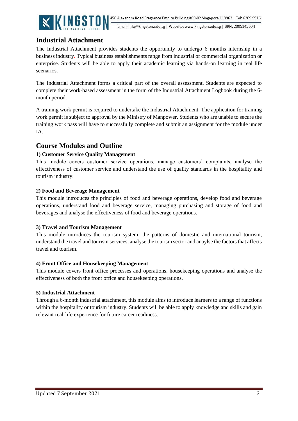

Email: info@kingston.edu.sg | Website: www.kingston.edu.sg | BRN: 200514560H

# <span id="page-3-0"></span>**Industrial Attachment**

The Industrial Attachment provides students the opportunity to undergo 6 months internship in a business industry. Typical business establishments range from industrial or commercial organization or enterprise. Students will be able to apply their academic learning via hands-on learning in real life scenarios.

The Industrial Attachment forms a critical part of the overall assessment. Students are expected to complete their work-based assessment in the form of the Industrial Attachment Logbook during the 6 month period.

A training work permit is required to undertake the Industrial Attachment. The application for training work permit is subject to approval by the Ministry of Manpower. Students who are unable to secure the training work pass will have to successfully complete and submit an assignment for the module under IA.

# **Course Modules and Outline**

## <span id="page-3-1"></span>**1) Customer Service Quality Management**

This module covers customer service operations, manage customers' complaints, analyse the effectiveness of customer service and understand the use of quality standards in the hospitality and tourism industry.

## **2) Food and Beverage Management**

This module introduces the principles of food and beverage operations, develop food and beverage operations, understand food and beverage service, managing purchasing and storage of food and beverages and analyse the effectiveness of food and beverage operations.

### **3) Travel and Tourism Management**

This module introduces the tourism system, the patterns of domestic and international tourism, understand the travel and tourism services, analyse the tourism sector and anaylse the factors that affects travel and tourism.

### **4) Front Office and Housekeeping Management**

This module covers front office processes and operations, housekeeping operations and analyse the effectiveness of both the front office and housekeeping operations.

## **5) Industrial Attachment**

Through a 6-month industrial attachment, this module aims to introduce learners to a range of functions within the hospitality or tourism industry. Students will be able to apply knowledge and skills and gain relevant real-life experience for future career readiness.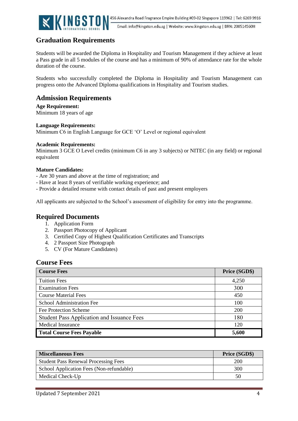

Email: info@kingston.edu.sg | Website: www.kingston.edu.sg | BRN: 200514560H

# **Graduation Requirements**

<span id="page-4-0"></span>Students will be awarded the Diploma in Hospitality and Tourism Management if they achieve at least a Pass grade in all 5 modules of the course and has a minimum of 90% of attendance rate for the whole duration of the course.

Students who successfully completed the Diploma in Hospitality and Tourism Management can progress onto the Advanced Diploma qualifications in Hospitality and Tourism studies.

# **Admission Requirements**

**Age Requirement:** Minimum 18 years of age

#### **Language Requirements:**

Minimum C6 in English Language for GCE 'O' Level or regional equivalent

#### **Academic Requirements:**

Minimum 3 GCE O Level credits (minimum C6 in any 3 subjects) or NITEC (in any field) or regional equivalent

#### **Mature Candidates:**

- Are 30 years and above at the time of registration; and
- Have at least 8 years of verifiable working experience; and
- Provide a detailed resume with contact details of past and present employers

<span id="page-4-1"></span>All applicants are subjected to the School's assessment of eligibility for entry into the programme.

## **Required Documents**

- 1. Application Form
- 2. Passport Photocopy of Applicant
- 3. Certified Copy of Highest Qualification Certificates and Transcripts
- 4. 2 Passport Size Photograph
- 5. CV (For Mature Candidates)

## <span id="page-4-2"></span>**Course Fees**

| <b>Course Fees</b>                                | Price (SGD\$) |
|---------------------------------------------------|---------------|
| <b>Tuition Fees</b>                               | 4,250         |
| <b>Examination Fees</b>                           | 300           |
| <b>Course Material Fees</b>                       | 450           |
| School Administration Fee                         | 100           |
| <b>Fee Protection Scheme</b>                      | 200           |
| <b>Student Pass Application and Issuance Fees</b> | 180           |
| <b>Medical Insurance</b>                          | 120           |
| <b>Total Course Fees Payable</b>                  | 5,600         |

| <b>Miscellaneous Fees</b>                   | <b>Price (SGD\$)</b> |
|---------------------------------------------|----------------------|
| <b>Student Pass Renewal Processing Fees</b> | <b>200</b>           |
| School Application Fees (Non-refundable)    | 300                  |
| Medical Check-Up                            | 50                   |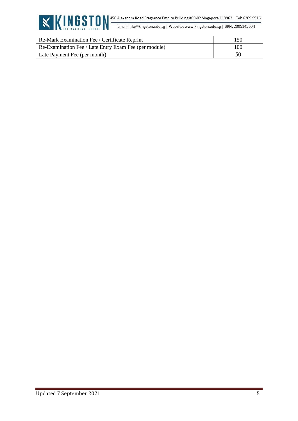

| Re-Mark Examination Fee / Certificate Reprint         | 150 |
|-------------------------------------------------------|-----|
| Re-Examination Fee / Late Entry Exam Fee (per module) | 100 |
| Late Payment Fee (per month)                          |     |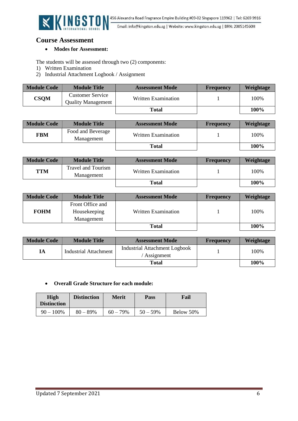

## <span id="page-6-0"></span>**Course Assessment**

#### • **Modes for Assessment:**

The students will be assessed through two (2) components:

- 1) Written Examination
- 2) Industrial Attachment Logbook / Assignment

| <b>Module Code</b> | <b>Module Title</b>                                  | <b>Assessment Mode</b> | Frequency | Weightage |
|--------------------|------------------------------------------------------|------------------------|-----------|-----------|
| <b>CSOM</b>        | <b>Customer Service</b><br><b>Quality Management</b> | Written Examination    |           | 100\%     |
|                    |                                                      | Total                  |           | 100%      |

| <b>Module Code</b> | <b>Module Title</b>             | <b>Assessment Mode</b> | Frequency | Weightage |
|--------------------|---------------------------------|------------------------|-----------|-----------|
| <b>FBM</b>         | Food and Beverage<br>Management | Written Examination    |           | 100%      |
|                    |                                 | <b>Total</b>           |           | 100%      |

| <b>Module Code</b> | <b>Module Title</b>              | <b>Assessment Mode</b> | <b>Frequency</b> | Weightage |
|--------------------|----------------------------------|------------------------|------------------|-----------|
| <b>TTM</b>         | Travel and Tourism<br>Management | Written Examination    |                  | 100%      |
|                    |                                  | Total                  |                  | 100%      |

| <b>Module Code</b> | <b>Module Title</b> | <b>Assessment Mode</b> | <b>Frequency</b> | Weightage |
|--------------------|---------------------|------------------------|------------------|-----------|
|                    | Front Office and    |                        |                  |           |
| <b>FOHM</b>        | Housekeeping        | Written Examination    |                  | 100%      |
|                    | Management          |                        |                  |           |
|                    |                     | Total                  |                  | 100%      |

| <b>Module Code</b> | <b>Module Title</b>          | <b>Assessment Mode</b>                                    | <b>Frequency</b> | Weightage |
|--------------------|------------------------------|-----------------------------------------------------------|------------------|-----------|
| IА                 | <b>Industrial Attachment</b> | <b>Industrial Attachment Logbook</b><br><i>Assignment</i> |                  | 100%      |
|                    |                              | <b>Total</b>                                              |                  | 100%      |

### • **Overall Grade Structure for each module:**

| High<br><b>Distinction</b> | <b>Distinction</b> | Merit       | Pass        | Fail      |
|----------------------------|--------------------|-------------|-------------|-----------|
| $90 - 100\%$               | $80 - 89\%$        | $60 - 79\%$ | $50 - 59\%$ | Below 50% |